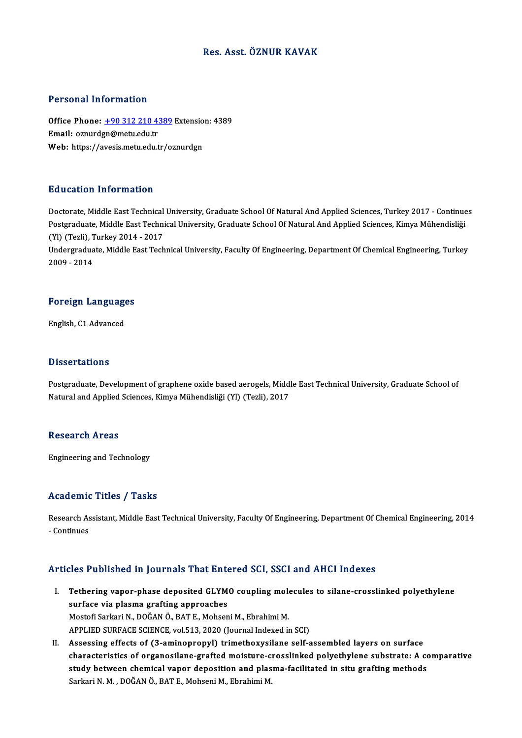## Res. Asst. ÖZNUR KAVAK

#### Personal Information

Personal Information<br>Office Phone: <u>+90 312 210 4389</u> Extension: 4389<br>Email: ernurden@metu.edu.tr office Phone: <u>+90 312 210 4:</u><br>Email: oznurd[gn@metu.edu.tr](tel:+90 312 210 4389)<br>Web: https://avesis.metu.edu.tr Office Phone: <u>+90 312 210 4389</u> Extensio<br>Email: oznurdgn@metu.edu.tr<br>Web: https://avesis.metu.edu.tr/oznurdgn Web: https://avesis.metu.edu.tr/oznurdgn<br>Education Information

Doctorate, Middle East Technical University, Graduate School Of Natural And Applied Sciences, Turkey 2017 - Continues Pu u sutrem Thref Inderem<br>Doctorate, Middle East Technical University, Graduate School Of Natural And Applied Sciences, Turkey 2017 - Continue<br>Postgraduate, Middle East Technical University, Graduate School Of Natural And Doctorate, Middle East Technical<br>Postgraduate, Middle East Techni<br>(Yl) (Tezli), Turkey 2014 - 2017<br>Undergraduate Middle Fest Tech Postgraduate, Middle East Technical University, Graduate School Of Natural And Applied Sciences, Kimya Mühendisliği<br>(Yl) (Tezli), Turkey 2014 - 2017<br>Undergraduate, Middle East Technical University, Faculty Of Engineering,

(Yl) (Tezli), Turkey 2014 - 2017<br>Undergraduate, Middle East Technical University, Faculty Of Engineering, Department Of Chemical Engineering, Turkey<br>2009 - 2014

## <sub>2009 - 2014</sub><br>Foreign Languages F<mark>oreign Languag</mark>e<br>English, C1 Advanced

English, C1 Advanced<br>Dissertations

Postgraduate, Development of graphene oxide based aerogels, Middle East Technical University, Graduate School of Natural and Applied Sciences, Kimya Mühendisliği (Yl) (Tezli), 2017

#### **Research Areas**

Engineering and Technology

### Academic Titles / Tasks

Academic Titles / Tasks<br>Research Assistant, Middle East Technical University, Faculty Of Engineering, Department Of Chemical Engineering, 2014 Research<br>As<br>- Continues

# Articles Published in Journals That Entered SCI, SSCI and AHCI Indexes

- rticles Published in Journals That Entered SCI, SSCI and AHCI Indexes<br>I. Tethering vapor-phase deposited GLYMO coupling molecules to silane-crosslinked polyethylene surface via plasma grafting view and<br>Tethering vapor-phase deposited GLYM<br>surface via plasma grafting approaches<br>Mestefi Sarkari N. DOČAN Ö. BATE, Mehsen Tethering vapor-phase deposited GLYMO coupling mole<br>surface via plasma grafting approaches<br>Mostofi Sarkari N., DOĞAN Ö., BAT E., Mohseni M., Ebrahimi M.<br>APPLIED SUREACE SCIENCE vol 512–2020 (Journal Indoved i: surface via plasma grafting approaches<br>Mostofi Sarkari N., DOĞAN Ö., BAT E., Mohseni M., Ebrahimi M.<br>APPLIED SURFACE SCIENCE, vol.513, 2020 (Journal Indexed in SCI)
- II. Assessing effects of (3-aminopropyl) trimethoxysilane self-assembled layers on surface APPLIED SURFACE SCIENCE, vol.513, 2020 (Journal Indexed in SCI)<br>Assessing effects of (3-aminopropyl) trimethoxysilane self-assembled layers on surface<br>characteristics of organosilane-grafted moisture-crosslinked polyethyle Assessing effects of (3-aminopropyl) trimethoxysilane self-assembled layers on surface<br>characteristics of organosilane-grafted moisture-crosslinked polyethylene substrate: A co<br>study between chemical vapor deposition and p characteristics of organosilane-grafted moisture-c<br>study between chemical vapor deposition and plas<br>Sarkari N. M. , DOĞAN Ö., BAT E., Mohseni M., Ebrahimi M.